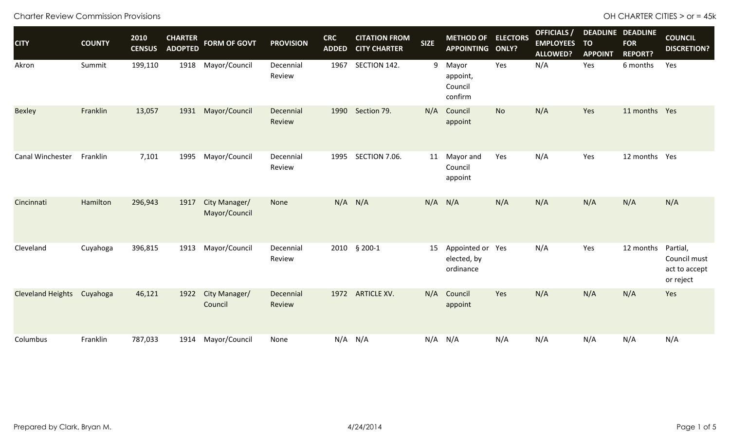| <b>CITY</b>              | <b>COUNTY</b> | 2010<br><b>CENSUS</b> | <b>CHARTER</b><br><b>ADOPTED</b> | <b>FORM OF GOVT</b>            | <b>PROVISION</b>    | <b>CRC</b><br><b>ADDED</b> | <b>CITATION FROM</b><br><b>CITY CHARTER</b> | <b>SIZE</b> | <b>METHOD OF ELECTORS</b><br>APPOINTING ONLY? |           | <b>OFFICIALS</b> /<br><b>EMPLOYEES</b><br><b>ALLOWED?</b> | <b>TO</b><br><b>APPOINT</b> | <b>DEADLINE DEADLINE</b><br><b>FOR</b><br><b>REPORT?</b> | <b>COUNCIL</b><br><b>DISCRETION?</b>                   |
|--------------------------|---------------|-----------------------|----------------------------------|--------------------------------|---------------------|----------------------------|---------------------------------------------|-------------|-----------------------------------------------|-----------|-----------------------------------------------------------|-----------------------------|----------------------------------------------------------|--------------------------------------------------------|
| Akron                    | Summit        | 199,110               | 1918                             | Mayor/Council                  | Decennial<br>Review | 1967                       | SECTION 142.                                | 9           | Mayor<br>appoint,<br>Council<br>confirm       | Yes       | N/A                                                       | Yes                         | 6 months                                                 | Yes                                                    |
| <b>Bexley</b>            | Franklin      | 13,057                | 1931                             | Mayor/Council                  | Decennial<br>Review |                            | 1990 Section 79.                            | N/A         | Council<br>appoint                            | <b>No</b> | N/A                                                       | Yes                         | 11 months Yes                                            |                                                        |
| Canal Winchester         | Franklin      | 7,101                 | 1995                             | Mayor/Council                  | Decennial<br>Review | 1995                       | SECTION 7.06.                               | 11          | Mayor and<br>Council<br>appoint               | Yes       | N/A                                                       | Yes                         | 12 months Yes                                            |                                                        |
| Cincinnati               | Hamilton      | 296,943               | 1917                             | City Manager/<br>Mayor/Council | None                |                            | $N/A$ $N/A$                                 | N/A         | N/A                                           | N/A       | N/A                                                       | N/A                         | N/A                                                      | N/A                                                    |
| Cleveland                | Cuyahoga      | 396,815               | 1913                             | Mayor/Council                  | Decennial<br>Review |                            | 2010 § 200-1                                | 15          | Appointed or Yes<br>elected, by<br>ordinance  |           | N/A                                                       | Yes                         | 12 months                                                | Partial,<br>Council must<br>act to accept<br>or reject |
| <b>Cleveland Heights</b> | Cuyahoga      | 46,121                | 1922                             | City Manager/<br>Council       | Decennial<br>Review | 1972                       | <b>ARTICLE XV.</b>                          | N/A         | Council<br>appoint                            | Yes       | N/A                                                       | N/A                         | N/A                                                      | Yes                                                    |
| Columbus                 | Franklin      | 787,033               | 1914                             | Mayor/Council                  | None                |                            | $N/A$ $N/A$                                 | N/A         | N/A                                           | N/A       | N/A                                                       | N/A                         | N/A                                                      | N/A                                                    |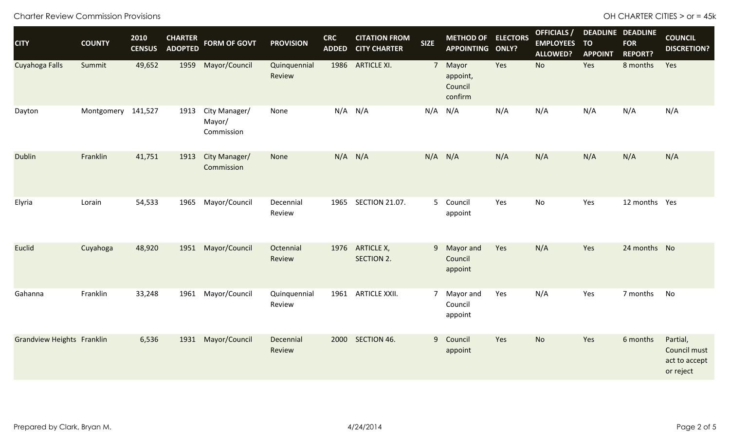Charter Review Commission Provisions **CHARTER CITIES** > or = 45k

| <b>CITY</b>                | <b>COUNTY</b>      | 2010<br><b>CENSUS</b> | <b>CHARTER</b><br><b>ADOPTED</b> | <b>FORM OF GOVT</b>                   | <b>PROVISION</b>       | <b>CRC</b><br><b>ADDED</b> | <b>CITATION FROM</b><br><b>CITY CHARTER</b> | <b>SIZE</b> | <b>METHOD OF ELECTORS</b><br>APPOINTING ONLY? |     | <b>OFFICIALS</b> /<br><b>EMPLOYEES</b><br><b>ALLOWED?</b> | <b>TO</b><br><b>APPOINT</b> | <b>DEADLINE DEADLINE</b><br><b>FOR</b><br><b>REPORT?</b> | <b>COUNCIL</b><br><b>DISCRETION?</b>                   |
|----------------------------|--------------------|-----------------------|----------------------------------|---------------------------------------|------------------------|----------------------------|---------------------------------------------|-------------|-----------------------------------------------|-----|-----------------------------------------------------------|-----------------------------|----------------------------------------------------------|--------------------------------------------------------|
| Cuyahoga Falls             | Summit             | 49,652                | 1959                             | Mayor/Council                         | Quinquennial<br>Review |                            | 1986 ARTICLE XI.                            |             | 7 Mayor<br>appoint,<br>Council<br>confirm     | Yes | <b>No</b>                                                 | Yes                         | 8 months                                                 | Yes                                                    |
| Dayton                     | Montgomery 141,527 |                       | 1913                             | City Manager/<br>Mayor/<br>Commission | None                   | N/A                        | N/A                                         |             | $N/A$ $N/A$                                   | N/A | N/A                                                       | N/A                         | N/A                                                      | N/A                                                    |
| <b>Dublin</b>              | Franklin           | 41,751                | 1913                             | City Manager/<br>Commission           | None                   | $N/A$ $N/A$                |                                             | $N/A$ $N/A$ |                                               | N/A | N/A                                                       | N/A                         | N/A                                                      | N/A                                                    |
| Elyria                     | Lorain             | 54,533                | 1965                             | Mayor/Council                         | Decennial<br>Review    | 1965                       | <b>SECTION 21.07.</b>                       |             | 5 Council<br>appoint                          | Yes | No                                                        | Yes                         | 12 months Yes                                            |                                                        |
| Euclid                     | Cuyahoga           | 48,920                | 1951                             | Mayor/Council                         | Octennial<br>Review    | 1976                       | <b>ARTICLE X,</b><br><b>SECTION 2.</b>      |             | 9 Mayor and<br>Council<br>appoint             | Yes | N/A                                                       | Yes                         | 24 months No                                             |                                                        |
| Gahanna                    | Franklin           | 33,248                | 1961                             | Mayor/Council                         | Quinquennial<br>Review | 1961                       | <b>ARTICLE XXII.</b>                        |             | 7 Mayor and<br>Council<br>appoint             | Yes | N/A                                                       | Yes                         | 7 months                                                 | No                                                     |
| Grandview Heights Franklin |                    | 6,536                 | 1931                             | Mayor/Council                         | Decennial<br>Review    |                            | 2000 SECTION 46.                            |             | 9 Council<br>appoint                          | Yes | <b>No</b>                                                 | Yes                         | 6 months                                                 | Partial,<br>Council must<br>act to accept<br>or reject |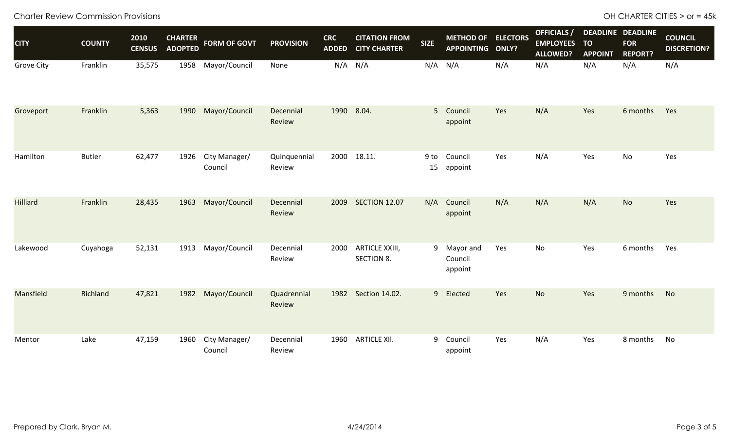Charter Review Commission Provisions **CHARTER CITIES** > or = 45k

| <b>CITY</b>       | <b>COUNTY</b> | 2010<br><b>CENSUS</b> | <b>CHARTER</b><br><b>ADOPTED</b> | <b>FORM OF GOVT</b>      | <b>PROVISION</b>       | <b>CRC</b><br><b>ADDED</b> | <b>CITATION FROM</b><br><b>CITY CHARTER</b> | <b>SIZE</b>    | <b>METHOD OF ELECTORS</b><br><b>APPOINTING ONLY?</b> |     | <b>OFFICIALS</b> /<br><b>EMPLOYEES</b><br><b>ALLOWED?</b> | <b>TO</b><br><b>APPOINT</b> | <b>DEADLINE DEADLINE</b><br><b>FOR</b><br><b>REPORT?</b> | <b>COUNCIL</b><br><b>DISCRETION?</b> |
|-------------------|---------------|-----------------------|----------------------------------|--------------------------|------------------------|----------------------------|---------------------------------------------|----------------|------------------------------------------------------|-----|-----------------------------------------------------------|-----------------------------|----------------------------------------------------------|--------------------------------------|
| <b>Grove City</b> | Franklin      | 35,575                | 1958                             | Mayor/Council            | None                   |                            | $N/A$ $N/A$                                 | $N/A$ $N/A$    |                                                      | N/A | N/A                                                       | N/A                         | N/A                                                      | N/A                                  |
| Groveport         | Franklin      | 5,363                 | 1990                             | Mayor/Council            | Decennial<br>Review    |                            | 1990 8.04.                                  | 5 <sup>1</sup> | Council<br>appoint                                   | Yes | N/A                                                       | Yes                         | 6 months                                                 | Yes                                  |
| Hamilton          | <b>Butler</b> | 62,477                | 1926                             | City Manager/<br>Council | Quinquennial<br>Review |                            | 2000 18.11.                                 | $9$ to<br>15   | Council<br>appoint                                   | Yes | N/A                                                       | Yes                         | No                                                       | Yes                                  |
| <b>Hilliard</b>   | Franklin      | 28,435                | 1963                             | Mayor/Council            | Decennial<br>Review    | 2009                       | <b>SECTION 12.07</b>                        | N/A            | Council<br>appoint                                   | N/A | N/A                                                       | N/A                         | <b>No</b>                                                | Yes                                  |
| Lakewood          | Cuyahoga      | 52,131                | 1913                             | Mayor/Council            | Decennial<br>Review    | 2000                       | <b>ARTICLE XXIII,</b><br><b>SECTION 8.</b>  |                | 9 Mayor and<br>Council<br>appoint                    | Yes | No                                                        | Yes                         | 6 months                                                 | Yes                                  |
| Mansfield         | Richland      | 47,821                | 1982                             | Mayor/Council            | Quadrennial<br>Review  | 1982                       | Section 14.02.                              | 9 <sup>°</sup> | Elected                                              | Yes | <b>No</b>                                                 | Yes                         | 9 months                                                 | No                                   |
| Mentor            | Lake          | 47,159                | 1960                             | City Manager/<br>Council | Decennial<br>Review    | 1960                       | <b>ARTICLE XII.</b>                         | 9              | Council<br>appoint                                   | Yes | N/A                                                       | Yes                         | 8 months                                                 | No                                   |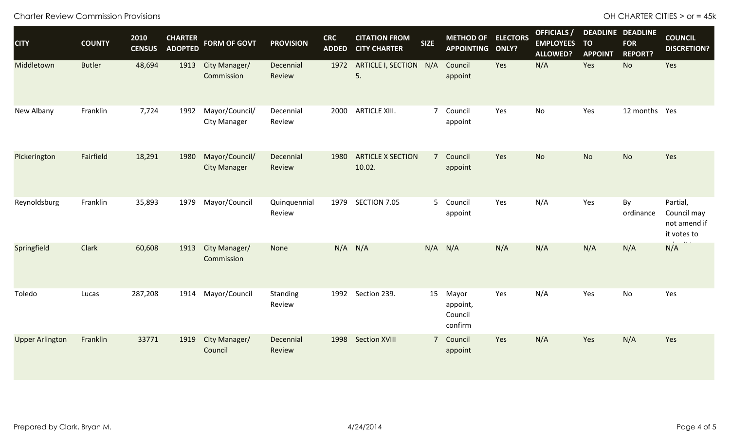Charter Review Commission Provisions **CHARTER CITIES** > or = 45k

| <b>CITY</b>            | <b>COUNTY</b> | 2010<br><b>CENSUS</b> | <b>CHARTER</b><br><b>ADOPTED</b> | <b>FORM OF GOVT</b>                   | <b>PROVISION</b>       | <b>CRC</b><br><b>ADDED</b> | <b>CITATION FROM</b><br><b>CITY CHARTER</b> | <b>SIZE</b> | <b>METHOD OF ELECTORS</b><br>APPOINTING ONLY? |     | <b>OFFICIALS</b> /<br><b>EMPLOYEES</b><br><b>ALLOWED?</b> | <b>TO</b><br><b>APPOINT</b> | <b>DEADLINE DEADLINE</b><br><b>FOR</b><br><b>REPORT?</b> | <b>COUNCIL</b><br><b>DISCRETION?</b>                   |
|------------------------|---------------|-----------------------|----------------------------------|---------------------------------------|------------------------|----------------------------|---------------------------------------------|-------------|-----------------------------------------------|-----|-----------------------------------------------------------|-----------------------------|----------------------------------------------------------|--------------------------------------------------------|
| Middletown             | <b>Butler</b> | 48,694                | 1913                             | City Manager/<br>Commission           | Decennial<br>Review    | 1972                       | <b>ARTICLE I, SECTION</b><br>5.             | N/A         | Council<br>appoint                            | Yes | N/A                                                       | Yes                         | No                                                       | Yes                                                    |
| New Albany             | Franklin      | 7,724                 | 1992                             | Mayor/Council/<br><b>City Manager</b> | Decennial<br>Review    | 2000                       | <b>ARTICLE XIII.</b>                        |             | 7 Council<br>appoint                          | Yes | No                                                        | Yes                         | 12 months Yes                                            |                                                        |
| Pickerington           | Fairfield     | 18,291                | 1980                             | Mayor/Council/<br><b>City Manager</b> | Decennial<br>Review    | 1980                       | <b>ARTICLE X SECTION</b><br>10.02.          |             | 7 Council<br>appoint                          | Yes | <b>No</b>                                                 | <b>No</b>                   | <b>No</b>                                                | Yes                                                    |
| Reynoldsburg           | Franklin      | 35,893                | 1979                             | Mayor/Council                         | Quinquennial<br>Review | 1979                       | SECTION 7.05                                |             | 5 Council<br>appoint                          | Yes | N/A                                                       | Yes                         | By<br>ordinance                                          | Partial,<br>Council may<br>not amend if<br>it votes to |
| Springfield            | Clark         | 60,608                | 1913                             | City Manager/<br>Commission           | None                   | N/A                        | N/A                                         |             | $N/A$ $N/A$                                   | N/A | N/A                                                       | N/A                         | N/A                                                      | N/A                                                    |
| Toledo                 | Lucas         | 287,208               | 1914                             | Mayor/Council                         | Standing<br>Review     | 1992                       | Section 239.                                |             | 15 Mayor<br>appoint,<br>Council<br>confirm    | Yes | N/A                                                       | Yes                         | No                                                       | Yes                                                    |
| <b>Upper Arlington</b> | Franklin      | 33771                 | 1919                             | City Manager/<br>Council              | Decennial<br>Review    | 1998                       | <b>Section XVIII</b>                        |             | 7 Council<br>appoint                          | Yes | N/A                                                       | Yes                         | N/A                                                      | Yes                                                    |